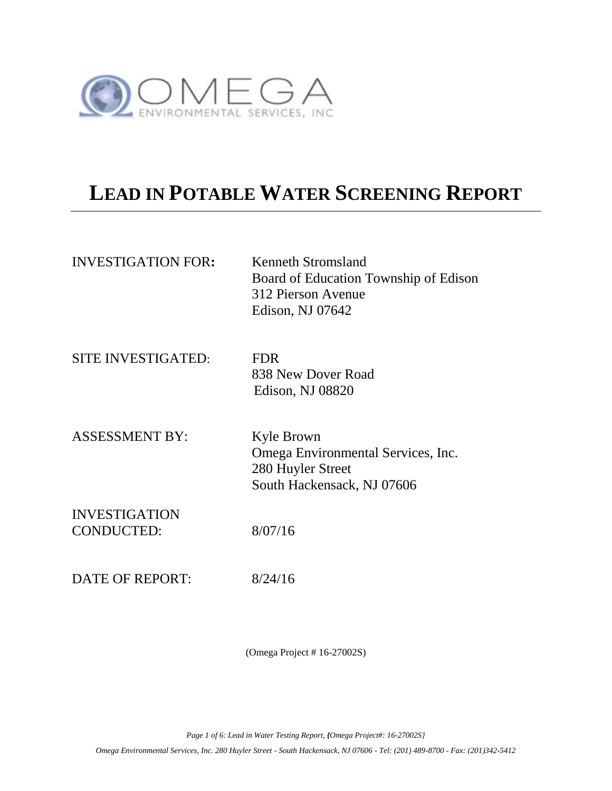

# **LEAD IN POTABLE WATER SCREENING REPORT**

| <b>INVESTIGATION FOR:</b>                 | Kenneth Stromsland<br>Board of Education Township of Edison<br>312 Pierson Avenue<br>Edison, NJ 07642 |
|-------------------------------------------|-------------------------------------------------------------------------------------------------------|
| <b>SITE INVESTIGATED:</b>                 | <b>FDR</b><br>838 New Dover Road<br>Edison, NJ 08820                                                  |
| <b>ASSESSMENT BY:</b>                     | Kyle Brown<br>Omega Environmental Services, Inc.<br>280 Huyler Street<br>South Hackensack, NJ 07606   |
| <b>INVESTIGATION</b><br><b>CONDUCTED:</b> | 8/07/16                                                                                               |
| DATE OF REPORT:                           | 8/24/16                                                                                               |

(Omega Project # 16-27002S)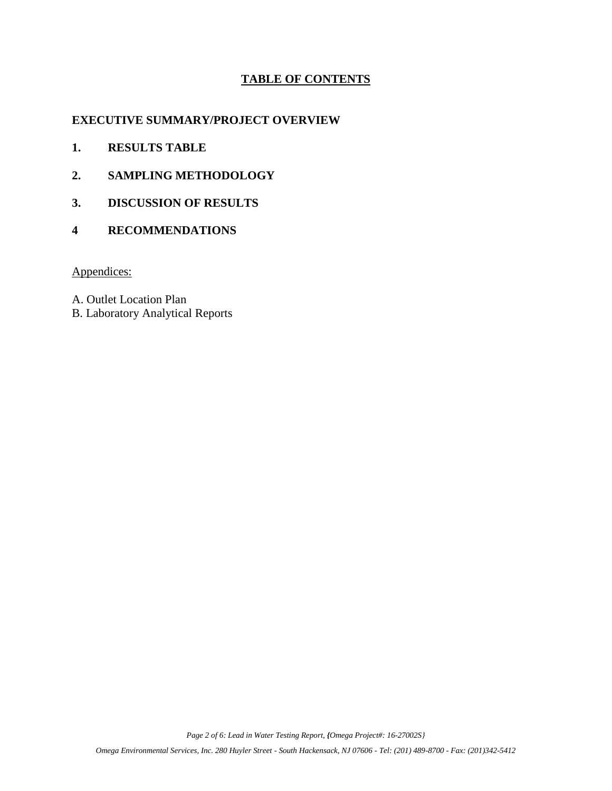### **TABLE OF CONTENTS**

#### **EXECUTIVE SUMMARY/PROJECT OVERVIEW**

- **1. RESULTS TABLE**
- **2. SAMPLING METHODOLOGY**
- **3. DISCUSSION OF RESULTS**
- **4 RECOMMENDATIONS**

Appendices:

A. Outlet Location Plan

B. Laboratory Analytical Reports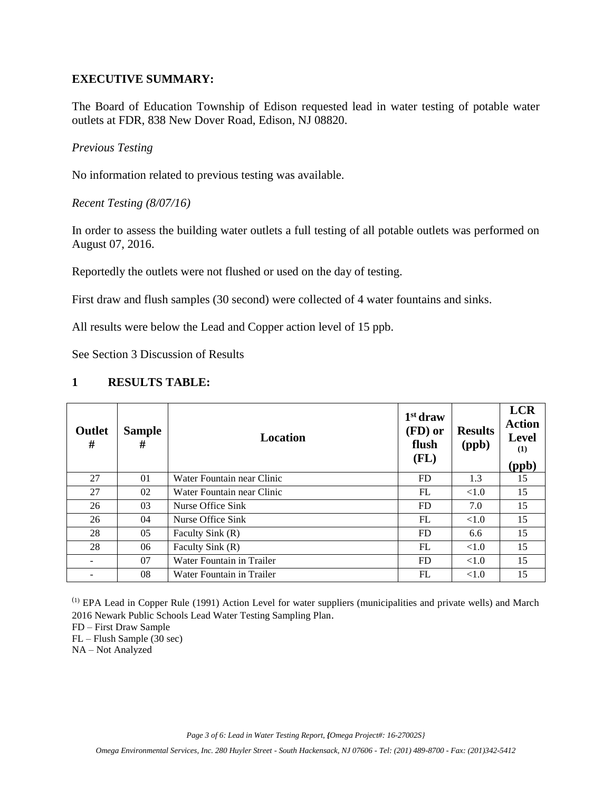#### **EXECUTIVE SUMMARY:**

The Board of Education Township of Edison requested lead in water testing of potable water outlets at FDR, 838 New Dover Road, Edison, NJ 08820.

*Previous Testing*

No information related to previous testing was available.

*Recent Testing (8/07/16)*

In order to assess the building water outlets a full testing of all potable outlets was performed on August 07, 2016.

Reportedly the outlets were not flushed or used on the day of testing.

First draw and flush samples (30 second) were collected of 4 water fountains and sinks.

All results were below the Lead and Copper action level of 15 ppb.

See Section 3 Discussion of Results

#### **1 RESULTS TABLE:**

| Outlet<br># | <b>Sample</b><br># | Location                   | $1st$ draw<br>(FD) or<br>flush<br>(FL) | <b>Results</b><br>(ppb) | <b>LCR</b><br><b>Action</b><br><b>Level</b><br>(1)<br>(ppb) |
|-------------|--------------------|----------------------------|----------------------------------------|-------------------------|-------------------------------------------------------------|
| 27          | 01                 | Water Fountain near Clinic | FD                                     | 1.3                     | 15                                                          |
| 27          | 02                 | Water Fountain near Clinic | FL                                     | <1.0                    | 15                                                          |
| 26          | 03                 | Nurse Office Sink          | <b>FD</b>                              | 7.0                     | 15                                                          |
| 26          | 04                 | Nurse Office Sink          | FL                                     | <1.0                    | 15                                                          |
| 28          | 05                 | Faculty Sink (R)           | <b>FD</b>                              | 6.6                     | 15                                                          |
| 28          | 06                 | Faculty Sink (R)           | FL                                     | <1.0                    | 15                                                          |
|             | 07                 | Water Fountain in Trailer  | <b>FD</b>                              | < 1.0                   | 15                                                          |
|             | 08                 | Water Fountain in Trailer  | FL                                     | <1.0                    | 15                                                          |

(1) EPA Lead in Copper Rule (1991) Action Level for water suppliers (municipalities and private wells) and March 2016 Newark Public Schools Lead Water Testing Sampling Plan.

FD – First Draw Sample

FL – Flush Sample (30 sec)

NA – Not Analyzed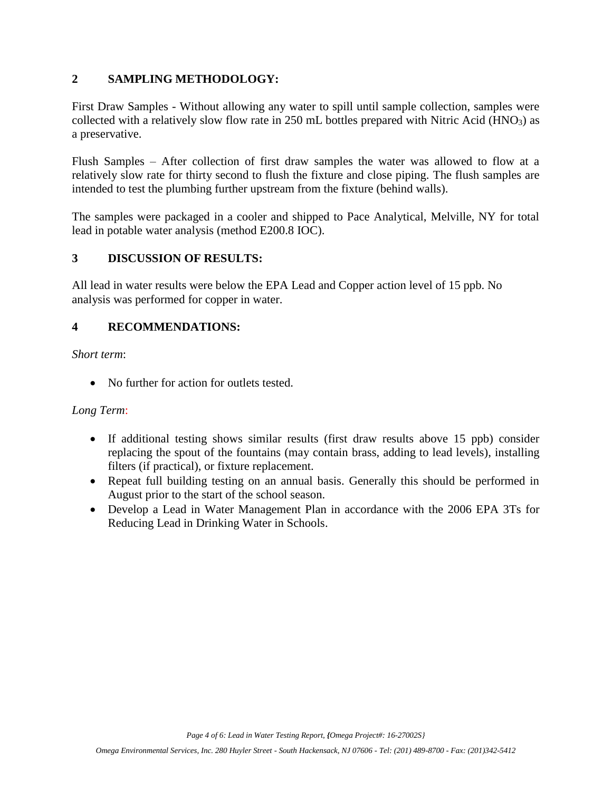### **2 SAMPLING METHODOLOGY:**

First Draw Samples - Without allowing any water to spill until sample collection, samples were collected with a relatively slow flow rate in  $250$  mL bottles prepared with Nitric Acid (HNO<sub>3</sub>) as a preservative.

Flush Samples – After collection of first draw samples the water was allowed to flow at a relatively slow rate for thirty second to flush the fixture and close piping. The flush samples are intended to test the plumbing further upstream from the fixture (behind walls).

The samples were packaged in a cooler and shipped to Pace Analytical, Melville, NY for total lead in potable water analysis (method E200.8 IOC).

### **3 DISCUSSION OF RESULTS:**

All lead in water results were below the EPA Lead and Copper action level of 15 ppb. No analysis was performed for copper in water.

### **4 RECOMMENDATIONS:**

*Short term*:

• No further for action for outlets tested.

### *Long Term*:

- If additional testing shows similar results (first draw results above 15 ppb) consider replacing the spout of the fountains (may contain brass, adding to lead levels), installing filters (if practical), or fixture replacement.
- Repeat full building testing on an annual basis. Generally this should be performed in August prior to the start of the school season.
- Develop a Lead in Water Management Plan in accordance with the 2006 EPA 3Ts for Reducing Lead in Drinking Water in Schools.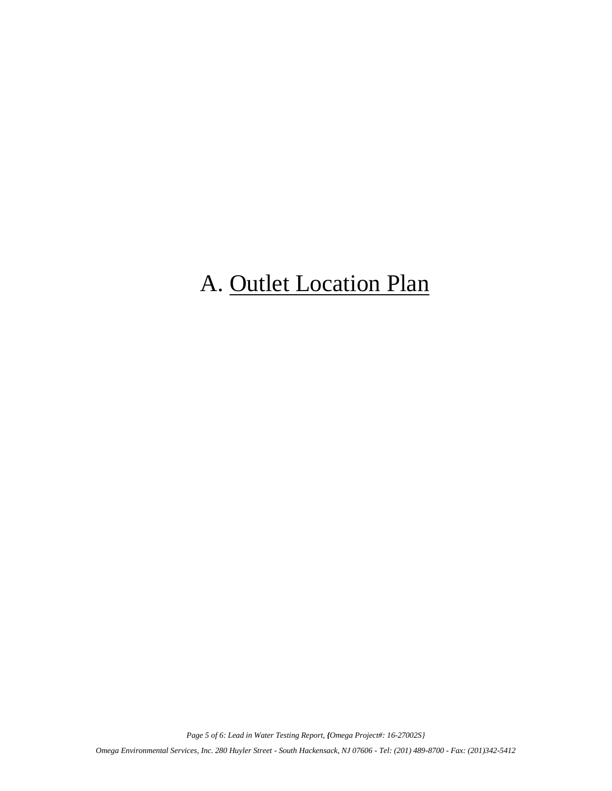# A. Outlet Location Plan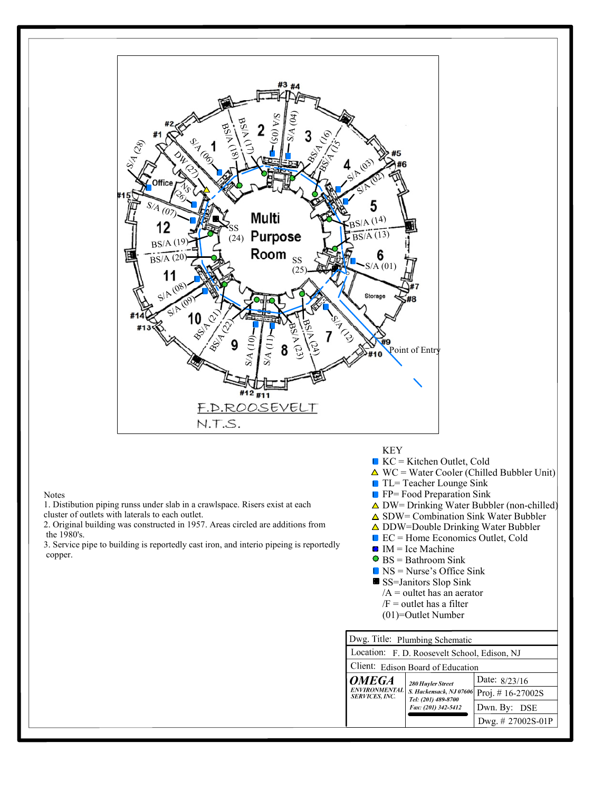

Notes

1. Distibution piping runss under slab in a crawlspace. Risers exist at each cluster of outlets with laterals to each outlet.

the 1980's.

copper.

- $K = K$ itchen Outlet, Cold
- $\triangle$  WC = Water Cooler (Chilled Bubbler Unit)
- TL= Teacher Lounge Sink
- **FP= Food Preparation Sink**
- $\triangle$  DW= Drinking Water Bubbler (non-chilled)
- $\triangle$  SDW= Combination Sink Water Bubbler
- $\triangle$  DDW=Double Drinking Water Bubbler
- $\blacksquare$  EC = Home Economics Outlet, Cold
- -
	-

|                                                | Dwg. Title: Plumbing Schematic               |                                           |
|------------------------------------------------|----------------------------------------------|-------------------------------------------|
|                                                | Location: F. D. Roosevelt School, Edison, NJ |                                           |
|                                                | Client: Edison Board of Education            |                                           |
| <b>OMEGA</b>                                   | 280 Huyler Street                            | Date: $8/23/16$                           |
| <i>ENVIRONMENTAL\</i><br><b>SERVICES, INC.</b> | Tel: (201) 489-8700                          | S. Hackensack, NJ 07606 Proj. # 16-27002S |
|                                                | Fax: (201) 342-5412                          | Dwn. By: DSE                              |
|                                                |                                              | Dwg. # 27002S-01P                         |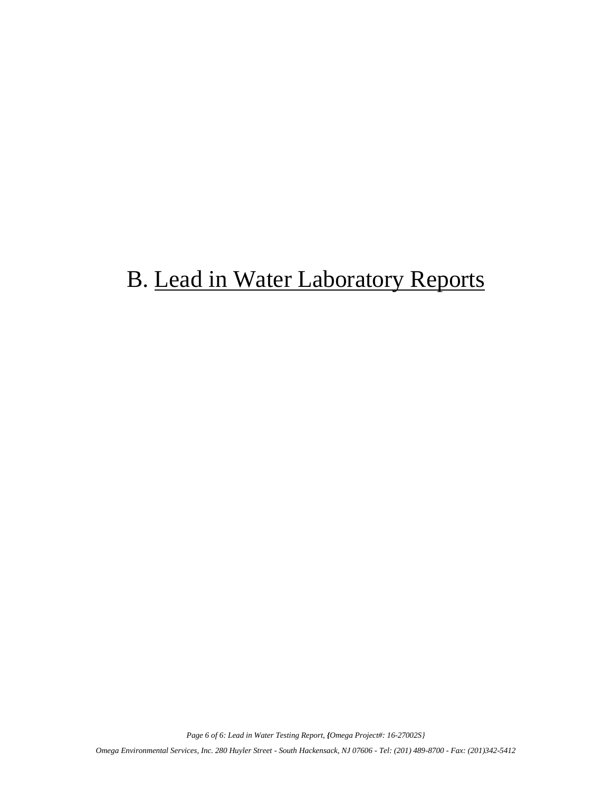# B. Lead in Water Laboratory Reports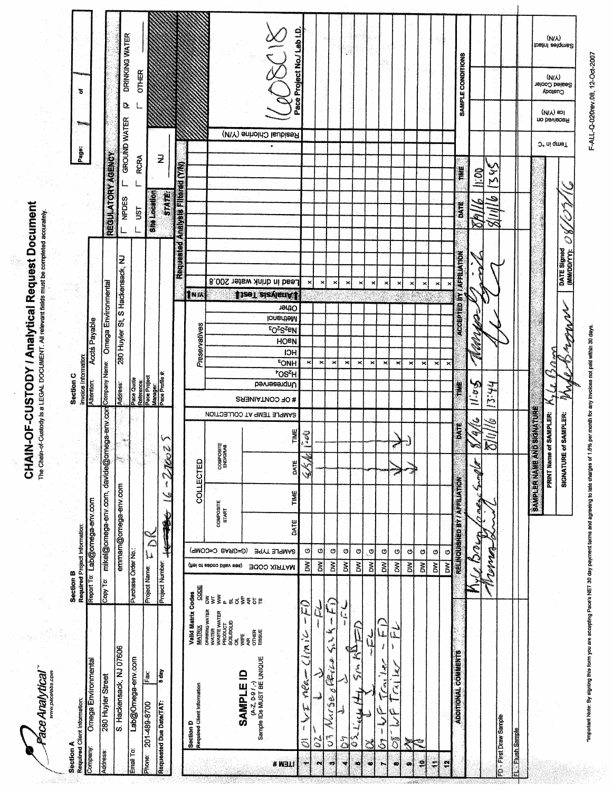**CHAIN-OF-CUSTODY / Analytical Request Document**<br>The Chain-of-Custody is a LEGAL DOCUMENT. All relevant fields must be completed accurately.

Face Analytical

ł.

| Section A<br>Required Client Information:               |                                                                                                     | Section B<br>Required Project Information:                  |                       |                               |                     |                                             |                           | Section C                      |                                        |                                                            |                          |                                                    |                            |                                  |                          |                     |                         |                          |                            |  |
|---------------------------------------------------------|-----------------------------------------------------------------------------------------------------|-------------------------------------------------------------|-----------------------|-------------------------------|---------------------|---------------------------------------------|---------------------------|--------------------------------|----------------------------------------|------------------------------------------------------------|--------------------------|----------------------------------------------------|----------------------------|----------------------------------|--------------------------|---------------------|-------------------------|--------------------------|----------------------------|--|
| Company:                                                |                                                                                                     |                                                             |                       |                               |                     |                                             |                           |                                | <b>Invoice Information</b>             |                                                            |                          |                                                    |                            |                                  |                          | Page:               | يستق                    | ъ                        |                            |  |
|                                                         | Omega Environmental                                                                                 | Report To: Lab@ornega-env.com                               |                       |                               |                     |                                             |                           | <b>Attention:</b>              |                                        | Accts Payable                                              |                          |                                                    |                            |                                  |                          |                     |                         |                          |                            |  |
| Address:                                                | 280 Huyler Street                                                                                   | Copy To:                                                    |                       | mikel@omega-env.com, davide@  |                     |                                             | omega-env.com             |                                | Company Name:                          | <b>Ornega Environmental</b>                                |                          |                                                    |                            |                                  | <b>REGULATORY AGENCY</b> |                     |                         |                          |                            |  |
|                                                         | S. Hackensack, NJ 07606                                                                             |                                                             |                       | emmam@omega-env.com           |                     |                                             |                           | <b>Address:</b>                |                                        |                                                            |                          | 280 Huyler St, S Hackensack, NJ                    |                            | <b>NPDES</b>                     |                          | <b>GROUND WATER</b> |                         | Δ                        | DRINKING WATER             |  |
| Email To:                                               | Lab@Omega-env.com                                                                                   | Purchase Order No.                                          |                       |                               |                     |                                             |                           | Pace Quote                     |                                        |                                                            |                          |                                                    |                            | <b>UST</b>                       |                          | <b>RCRA</b>         |                         | <b>OTHER</b>             |                            |  |
| 201-489-8700<br>phone:                                  | Fax                                                                                                 | <b>Project Name:</b>                                        | $\frac{1}{2}$         |                               |                     |                                             |                           | Reference:<br>Pace Project     |                                        |                                                            |                          |                                                    |                            | She Location                     |                          |                     |                         |                          |                            |  |
| Requested Due Date/TAT:                                 | 5 day                                                                                               | Project Number.                                             |                       |                               | 1                   | ✓<br>e<br>Se<br>$\mathbb{Z}^2$              |                           | Manager:<br>Pace Profile #:    |                                        |                                                            |                          |                                                    |                            |                                  | <b>STATE</b>             | $\overline{z}$      |                         |                          |                            |  |
|                                                         |                                                                                                     |                                                             |                       |                               |                     |                                             |                           |                                |                                        |                                                            |                          |                                                    |                            | Requested Analysis Filleren (VN) |                          |                     |                         |                          |                            |  |
|                                                         | Vaild Matrix Codes<br><b>MATRIX</b><br>Section D<br>Required Client Information                     | CODE                                                        |                       |                               | COLLECTED           |                                             |                           |                                |                                        | Preservatives                                              |                          | <b>TINIA</b>                                       |                            |                                  |                          |                     |                         |                          |                            |  |
|                                                         | DRINKING WATER<br>WATER<br>WASTE WATER<br>PRODUCT<br>SOIL/SOLID                                     | (fiel of aeboo bilav ees)<br>$\frac{2}{5} \leq \frac{2}{5}$ | (P=GBAB C=COMP)       | COMPOSITE<br>START            |                     | <b>COMPOSITE</b><br>ENDIGRAB                |                           |                                |                                        |                                                            |                          |                                                    |                            |                                  |                          |                     |                         |                          |                            |  |
|                                                         | <b>OTHER</b><br>TISSJE<br>on<br>행<br>å<br>(A-Z, 0-9 / ,-)<br>Sample IDs MUST BE UNIQUE<br>SAMPLE ID | ∝¤d≸≹៦ឌ                                                     |                       |                               |                     |                                             |                           |                                |                                        |                                                            |                          |                                                    |                            |                                  |                          |                     |                         |                          |                            |  |
| <b>ITEM#</b>                                            |                                                                                                     | <b>JOO XIRTAM</b>                                           | SAMPLE TYPE           | DATE                          |                     | TIME                                        | SAMPLE TEMP AT COLLECTION | Unpreserved<br># OF CONTAINERS | <b>FONH</b><br><b>*OS<sup>Z</sup>H</b> | <b>EO<sub>2</sub>S<sub>Z</sub>EN</b><br>HOPN<br><b>HCI</b> | Other<br><b>Nethanol</b> | Lead in drink water 200.8<br><b>JizeT</b> zizvienA |                            |                                  |                          |                     | Residual Chlorine (Y/N) | $\leq$                   |                            |  |
| $\pmb{i}$<br>J.<br>$\blacksquare$                       | Ę<br>Ĭ<br>nea — Clinic<br>للمجا                                                                     | $\tilde{\mathbf{z}}$                                        | $\boldsymbol{\Theta}$ |                               | TIME                | $\mathbb{Z}$<br>e.<br>Ba<br>DATE<br>ر<br>په |                           |                                | ×                                      |                                                            |                          | ×                                                  |                            |                                  |                          |                     |                         |                          | Pace Project No./ Lab I.D. |  |
| $\tilde{c}$<br>$_{\rm eq}$                              | لحا                                                                                                 | $\tilde{\mathbf{a}}$                                        | $\boldsymbol{\omega}$ |                               |                     |                                             |                           |                                | $\mathbf{x}$                           |                                                            |                          | $\boldsymbol{\times}$                              |                            |                                  |                          |                     |                         |                          |                            |  |
| $\tilde{c}$<br>er.                                      | $-\tilde{F}$<br>¥<br>من<br>محمد<br>Pri Le<br>×,<br>Vurse                                            | <b>BW</b>                                                   | G                     |                               |                     |                                             |                           |                                | ×                                      |                                                            |                          | ×                                                  |                            |                                  |                          |                     |                         |                          |                            |  |
| $\frac{5}{\Omega}$<br>$\overline{\phantom{a}}$          | لى<br>Ĺ,<br>ł                                                                                       | ă                                                           | Q                     |                               |                     |                                             |                           |                                | ×                                      |                                                            |                          | ×                                                  |                            |                                  |                          |                     |                         |                          |                            |  |
| $\mathfrak{s}$<br>$\bullet$                             | Ŕ<br><b>Series</b><br>Į<br><b>ACLe</b>                                                              | $\tilde{\mathbf{g}}$                                        | Ф                     |                               |                     |                                             |                           |                                | ×                                      |                                                            |                          | ×                                                  |                            |                                  |                          |                     |                         |                          |                            |  |
| $\mathbf i$<br>$\mathbb{Z}$<br>w                        |                                                                                                     | $\sum_{i=1}^{n}$                                            | $\ddot{\circ}$        |                               |                     |                                             |                           |                                | ×                                      |                                                            |                          | $\pmb{\times}$                                     |                            |                                  |                          |                     |                         |                          |                            |  |
| $\mathbb{C}$<br>$\overline{S}$<br>$\ddot{}$<br>$\infty$ | نس<br>مار<br>لمب<br>سطا<br>ţ<br>١<br>$\mathcal{L}$<br>ا<br>استقبال<br>استقبال                       | Š<br>$\tilde{\mathbf{z}}$                                   | O<br>O,               |                               |                     | $\vec{r}$                                   |                           |                                | $\pmb{\times}$<br>×                    |                                                            |                          | ×<br>×                                             |                            |                                  |                          |                     |                         |                          |                            |  |
| শ<br>$\bullet$                                          |                                                                                                     | $\sum_{i=1}^{n}$                                            | ာ                     |                               |                     |                                             |                           |                                | ×                                      |                                                            |                          | ×                                                  |                            |                                  |                          |                     |                         |                          |                            |  |
| 7, 7<br>£,                                              |                                                                                                     | ð                                                           | o                     |                               |                     |                                             |                           |                                | ×                                      |                                                            |                          | ×                                                  |                            |                                  |                          |                     |                         |                          |                            |  |
| $\ddot{\bullet}$                                        |                                                                                                     | $\sum_{i=1}^{n}$                                            | Ø                     |                               |                     |                                             |                           |                                | ×                                      |                                                            |                          | ×                                                  |                            |                                  |                          |                     |                         |                          |                            |  |
| $\bullet$                                               |                                                                                                     | $\sum_{i=1}^{n}$                                            | O                     |                               |                     |                                             |                           |                                | $\boldsymbol{\times}$                  |                                                            |                          | ×                                                  |                            |                                  |                          |                     |                         |                          |                            |  |
|                                                         | ADDITIONAL COMMENTS                                                                                 |                                                             |                       | RELINQUISHED BY / AFFILIATION |                     |                                             | SATE                      | Ë                              |                                        |                                                            |                          | ACCEPTED BY / AFFILIATION                          |                            | DATE                             | ¥                        |                     |                         | SAMPLE CONDITIONS        |                            |  |
|                                                         |                                                                                                     | MULTORE                                                     |                       | <b>C.ME</b>                   | فكالمجامعة          |                                             | پي<br>Î,                  | 11.05                          |                                        |                                                            | Ź                        |                                                    |                            | Ā<br>$\approx$                   | <b>SC</b>                |                     |                         |                          |                            |  |
|                                                         |                                                                                                     | Monney                                                      |                       |                               |                     | K                                           |                           | 13:44                          |                                        |                                                            |                          |                                                    |                            | $\widehat{\mathbf{S}}$           | ζλ<br>Σ<br>S             |                     |                         |                          |                            |  |
| FD - First Draw Sample                                  |                                                                                                     |                                                             |                       |                               |                     |                                             |                           |                                |                                        |                                                            |                          |                                                    |                            |                                  |                          |                     |                         |                          |                            |  |
| <b>El.</b> Flush Sample                                 |                                                                                                     |                                                             |                       |                               |                     |                                             |                           |                                |                                        |                                                            |                          |                                                    |                            |                                  |                          |                     |                         |                          |                            |  |
|                                                         |                                                                                                     |                                                             |                       |                               | <b>SAMPLER NAME</b> |                                             | <b>AND SIGNATURE</b>      |                                |                                        |                                                            |                          |                                                    |                            |                                  |                          |                     |                         |                          |                            |  |
|                                                         |                                                                                                     |                                                             |                       |                               |                     | PRINT Name of SAMPLER:                      |                           | Ry Le                          |                                        |                                                            |                          |                                                    |                            |                                  |                          | J. ui qmel          | (NM) ခာု<br>no bevieseR | (MV)                     | (NIX)                      |  |
|                                                         |                                                                                                     |                                                             |                       |                               |                     | SIGNATURE of SAMPLER:                       |                           | N                              |                                        |                                                            | <b>MONDAY STARS</b>      |                                                    | DATE Signed<br>(MM/DD/YY): | <b>RO</b>                        |                          |                     |                         | Sealed Cooler<br>Custody | Samples Intact             |  |

F-ALL-Q-020rev.08, 12-Oct-2007

important Note: By signing this torm you are accepting Pace's NET 30 day payment terms and agreeing to late obtages of 1.5% per month for any involves not paid within 30 days.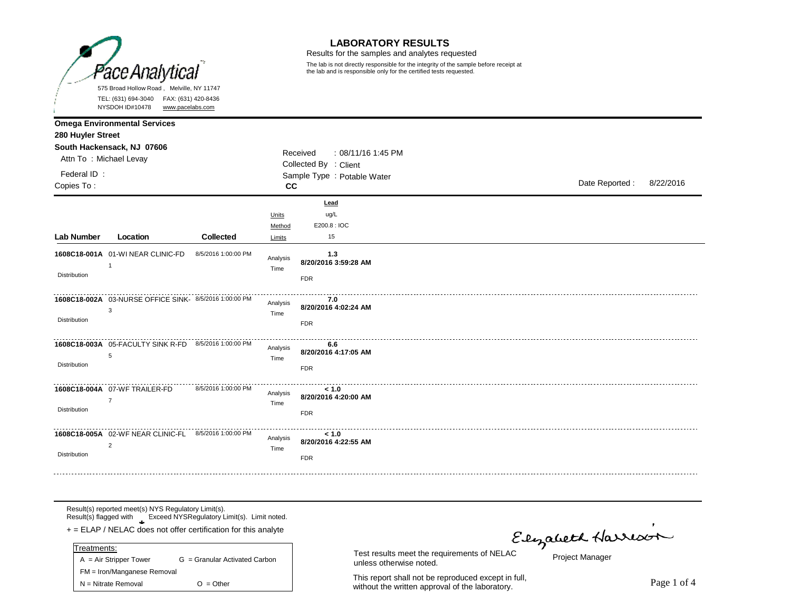

#### **LABORATORY RESULTS**

Results for the samples and analytes requested

The lab is not directly responsible for the integrity of the sample before receipt at the lab and is responsible only for the certified tests requested.

|                           | NYSDOH ID#10478<br>www.pacelabs.com                                     |                     |                           |                                                         |                |           |
|---------------------------|-------------------------------------------------------------------------|---------------------|---------------------------|---------------------------------------------------------|----------------|-----------|
| 280 Huyler Street         | <b>Omega Environmental Services</b>                                     |                     |                           |                                                         |                |           |
| Attn To: Michael Levay    | South Hackensack, NJ 07606                                              |                     |                           | Received<br>: 08/11/16 1:45 PM<br>Collected By : Client |                |           |
| Federal ID:<br>Copies To: |                                                                         |                     | cc                        | Sample Type : Potable Water                             | Date Reported: | 8/22/2016 |
| Lab Number                | Location                                                                | Collected           | Units<br>Method<br>Limits | Lead<br>ug/L<br>E200.8 : IOC<br>15                      |                |           |
| Distribution              | 1608C18-001A 01-WI NEAR CLINIC-FD<br>-1                                 | 8/5/2016 1:00:00 PM | Analysis<br>Time          | $1.3$<br>8/20/2016 3:59:28 AM<br><b>FDR</b>             |                |           |
| Distribution              | 1608C18-002A 03-NURSE OFFICE SINK- 8/5/2016 1:00:00 PM<br>3             |                     | Analysis<br>Time          | 7.0<br>8/20/2016 4:02:24 AM<br><b>FDR</b>               |                |           |
| Distribution              | 1608C18-003A 05-FACULTY SINK R-FD 8/5/2016 1:00:00 PM<br>5              |                     | Analysis<br>Time          | 6.6<br>8/20/2016 4:17:05 AM<br><b>FDR</b>               |                |           |
| Distribution              | 1608C18-004A 07-WF TRAILER-FD<br>$\overline{7}$                         | 8/5/2016 1:00:00 PM | Analysis<br>Time          | < 1.0<br>8/20/2016 4:20:00 AM<br><b>FDR</b>             |                |           |
| Distribution              | 1608C18-005A 02-WF NEAR CLINIC-FL 8/5/2016 1:00:00 PM<br>$\overline{2}$ |                     | Analysis<br>Time          | < 1.0<br>8/20/2016 4:22:55 AM<br><b>FDR</b>             |                |           |

Result(s) reported meet(s) NYS Regulatory Limit(s). Result(s) flagged with Exceed NYSRegulatory Limit(s). Limit noted.

**\*** + = ELAP / NELAC does not offer certification for this analyte

| Treatments:                 |                               |  |
|-----------------------------|-------------------------------|--|
| $A = Air Strepper Tower$    | G = Granular Activated Carbon |  |
| FM = Iron/Manganese Removal |                               |  |
| $N = N$ itrate Removal      | $O = Other$                   |  |

unless otherwise noted.

This report shall not be reproduced except in full, without the written approval of the laboratory.<br>Without the written approval of the laboratory.

Flyabeth Harrison

Project Manager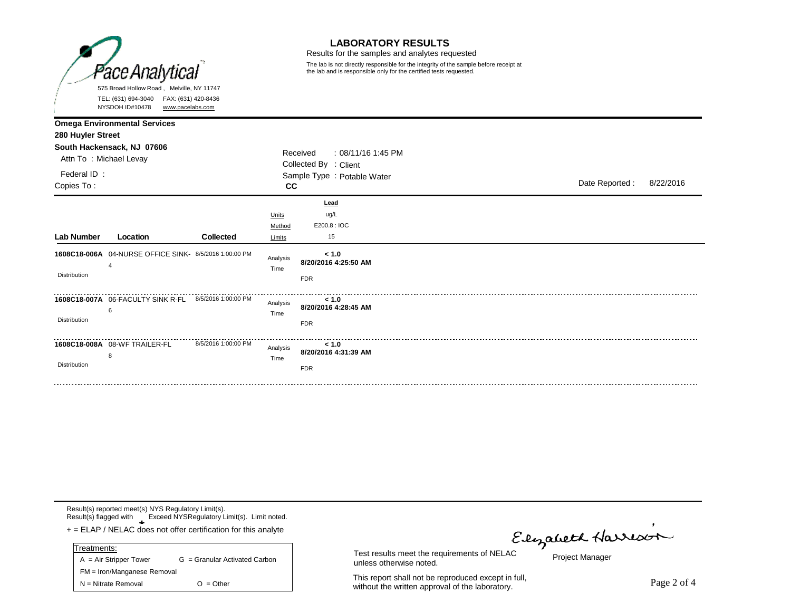

#### **LABORATORY RESULTS**

Results for the samples and analytes requested

The lab is not directly responsible for the integrity of the sample before receipt at the lab and is responsible only for the certified tests requested.

|                                                                          | NYSDOH ID#10478<br>www.pacelabs.com                               |                     |                           |                                                                                        |                 |           |
|--------------------------------------------------------------------------|-------------------------------------------------------------------|---------------------|---------------------------|----------------------------------------------------------------------------------------|-----------------|-----------|
| 280 Huyler Street<br>Attn To: Michael Levay<br>Federal ID:<br>Copies To: | <b>Omega Environmental Services</b><br>South Hackensack, NJ 07606 |                     | cc                        | Received<br>: 08/11/16 1:45 PM<br>Collected By : Client<br>Sample Type : Potable Water | Date Reported : | 8/22/2016 |
| Lab Number                                                               | Location                                                          | <b>Collected</b>    | Units<br>Method<br>Limits | Lead<br>ug/L<br>E200.8 : IOC<br>15                                                     |                 |           |
| Distribution                                                             | 1608C18-006A  04-NURSE OFFICE SINK- 8/5/2016 1:00:00 PM<br>4      |                     | Analysis<br>Time          | < 1.0<br>8/20/2016 4:25:50 AM<br><b>FDR</b>                                            |                 |           |
| Distribution                                                             | 1608C18-007A 06-FACULTY SINK R-FL 8/5/2016 1:00:00 PM<br>6        |                     | Analysis<br>Time          | < 1.0<br>8/20/2016 4:28:45 AM<br><b>FDR</b>                                            |                 |           |
| <b>Distribution</b>                                                      | 1608C18-008A 08-WF TRAILER-FL<br>8                                | 8/5/2016 1:00:00 PM | Analysis<br>Time          | < 1.0<br>8/20/2016 4:31:39 AM<br><b>FDR</b>                                            |                 |           |

Result(s) reported meet(s) NYS Regulatory Limit(s). Result(s) flagged with Exceed NYSRegulatory Limit(s). Limit noted.

**\*** + = ELAP / NELAC does not offer certification for this analyte

| Treatments:                 |                               |
|-----------------------------|-------------------------------|
| $A = Air Strepper Tower$    | G = Granular Activated Carbon |
| FM = Iron/Manganese Removal |                               |
| $N =$ Nitrate Removal       | $O = Other$                   |

Test results meet the requirements of NELAC<br>Test results meet the requirements of NELAC

Project Manager

This report shall not be reproduced except in full, This report shall not be reproduced except in full,<br>without the written approval of the laboratory.

unless otherwise noted.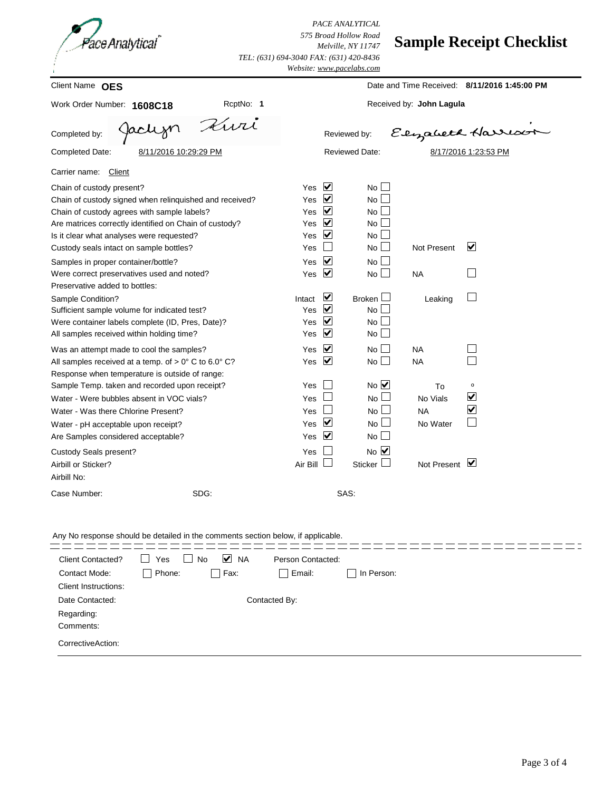

*PACE ANALYTICAL 575 Broad Hollow Road Melville, NY 11747 TEL: (631) 694-3040 FAX: (631) 420-8436*

### **Sample Receipt Checklist**

| Client Name OES<br>RcptNo: 1<br>Work Order Number: 1608C18<br>Kwi<br>Jaclijn<br>Completed by:<br>Completed Date:<br>8/11/2016 10:29:29 PM<br>Carrier name:<br>Client<br>Chain of custody present?<br>Yes<br>Chain of custody signed when relinquished and received?<br>Yes<br>Chain of custody agrees with sample labels?<br>Yes<br>Are matrices correctly identified on Chain of custody?<br>Yes<br>Yes<br>Is it clear what analyses were requested?<br>Yes<br>Custody seals intact on sample bottles?<br>Samples in proper container/bottle?<br>Yes<br>Were correct preservatives used and noted?<br>Yes<br>Preservative added to bottles:<br>Intact<br>Sample Condition?<br>Yes<br>Sufficient sample volume for indicated test?<br>Were container labels complete (ID, Pres, Date)?<br>Yes<br>Yes<br>All samples received within holding time?<br>Yes<br>Was an attempt made to cool the samples?<br>All samples received at a temp. of $> 0^{\circ}$ C to 6.0° C?<br>Yes<br>Response when temperature is outside of range:<br>Sample Temp. taken and recorded upon receipt?<br>Yes | Reviewed by:<br>Reviewed Date:<br>$\blacktriangledown$<br>$No \Box$<br>$\overline{\mathbf{v}}$<br>No L<br>$\blacktriangledown$<br>$No$ $\Box$<br>$\blacktriangledown$<br>No <sub>1</sub><br>⊻<br>$No \Box$<br>$No \Box$<br>⊻<br>$No \Box$<br>⊻<br>$No$ $\Box$<br>⊻<br>Broken $\Box$<br>⊻<br>No <sub>l</sub><br>$\blacktriangledown$<br>$No \Box$ | Received by: John Lagula<br>$\mathcal{L}$<br><b>Not Present</b><br><b>NA</b><br>Leaking | Date and Time Received: 8/11/2016 1:45:00 PM<br>Elizabeth Harrison<br>8/17/2016 1:23:53 PM<br>$\vert\mathbf{v}\vert$ |
|----------------------------------------------------------------------------------------------------------------------------------------------------------------------------------------------------------------------------------------------------------------------------------------------------------------------------------------------------------------------------------------------------------------------------------------------------------------------------------------------------------------------------------------------------------------------------------------------------------------------------------------------------------------------------------------------------------------------------------------------------------------------------------------------------------------------------------------------------------------------------------------------------------------------------------------------------------------------------------------------------------------------------------------------------------------------------------------|--------------------------------------------------------------------------------------------------------------------------------------------------------------------------------------------------------------------------------------------------------------------------------------------------------------------------------------------------|-----------------------------------------------------------------------------------------|----------------------------------------------------------------------------------------------------------------------|
|                                                                                                                                                                                                                                                                                                                                                                                                                                                                                                                                                                                                                                                                                                                                                                                                                                                                                                                                                                                                                                                                                        |                                                                                                                                                                                                                                                                                                                                                  |                                                                                         |                                                                                                                      |
|                                                                                                                                                                                                                                                                                                                                                                                                                                                                                                                                                                                                                                                                                                                                                                                                                                                                                                                                                                                                                                                                                        |                                                                                                                                                                                                                                                                                                                                                  |                                                                                         |                                                                                                                      |
|                                                                                                                                                                                                                                                                                                                                                                                                                                                                                                                                                                                                                                                                                                                                                                                                                                                                                                                                                                                                                                                                                        |                                                                                                                                                                                                                                                                                                                                                  |                                                                                         |                                                                                                                      |
|                                                                                                                                                                                                                                                                                                                                                                                                                                                                                                                                                                                                                                                                                                                                                                                                                                                                                                                                                                                                                                                                                        |                                                                                                                                                                                                                                                                                                                                                  |                                                                                         |                                                                                                                      |
|                                                                                                                                                                                                                                                                                                                                                                                                                                                                                                                                                                                                                                                                                                                                                                                                                                                                                                                                                                                                                                                                                        |                                                                                                                                                                                                                                                                                                                                                  |                                                                                         |                                                                                                                      |
|                                                                                                                                                                                                                                                                                                                                                                                                                                                                                                                                                                                                                                                                                                                                                                                                                                                                                                                                                                                                                                                                                        |                                                                                                                                                                                                                                                                                                                                                  |                                                                                         |                                                                                                                      |
|                                                                                                                                                                                                                                                                                                                                                                                                                                                                                                                                                                                                                                                                                                                                                                                                                                                                                                                                                                                                                                                                                        |                                                                                                                                                                                                                                                                                                                                                  |                                                                                         |                                                                                                                      |
|                                                                                                                                                                                                                                                                                                                                                                                                                                                                                                                                                                                                                                                                                                                                                                                                                                                                                                                                                                                                                                                                                        |                                                                                                                                                                                                                                                                                                                                                  |                                                                                         |                                                                                                                      |
|                                                                                                                                                                                                                                                                                                                                                                                                                                                                                                                                                                                                                                                                                                                                                                                                                                                                                                                                                                                                                                                                                        | ⊻<br>$No \Box$                                                                                                                                                                                                                                                                                                                                   |                                                                                         |                                                                                                                      |
|                                                                                                                                                                                                                                                                                                                                                                                                                                                                                                                                                                                                                                                                                                                                                                                                                                                                                                                                                                                                                                                                                        | ∨<br>$No$ $\vert$ $\vert$<br>⊻<br>$No$ $\Box$                                                                                                                                                                                                                                                                                                    | <b>NA</b><br><b>NA</b>                                                                  |                                                                                                                      |
| Water - Were bubbles absent in VOC vials?<br>Yes<br>Water - Was there Chlorine Present?<br>Yes<br>Yes<br>Water - pH acceptable upon receipt?<br>Are Samples considered acceptable?<br>Yes                                                                                                                                                                                                                                                                                                                                                                                                                                                                                                                                                                                                                                                                                                                                                                                                                                                                                              | $No$ $\overline{\vee}$<br>No l<br>$No \Box$<br>⊻<br>No l<br>$\blacktriangledown$<br>$No \Box$                                                                                                                                                                                                                                                    | To<br>No Vials<br><b>NA</b><br>No Water                                                 | $\mathsf{o}$<br>$\blacktriangledown$<br>$\blacktriangledown$                                                         |
| Custody Seals present?<br>Yes<br>Air Bill<br>Airbill or Sticker?<br>Airbill No:                                                                                                                                                                                                                                                                                                                                                                                                                                                                                                                                                                                                                                                                                                                                                                                                                                                                                                                                                                                                        | $No$ $\overline{\vee}$<br><b>Sticker</b>                                                                                                                                                                                                                                                                                                         | Not Present $\boxed{\blacktriangledown}$                                                |                                                                                                                      |
| Case Number:<br>SDG:                                                                                                                                                                                                                                                                                                                                                                                                                                                                                                                                                                                                                                                                                                                                                                                                                                                                                                                                                                                                                                                                   | SAS:                                                                                                                                                                                                                                                                                                                                             |                                                                                         |                                                                                                                      |

| <b>Client Contacted?</b>    | Yes    | M NA<br>No | Person Contacted:      |            |
|-----------------------------|--------|------------|------------------------|------------|
| Contact Mode:               | Phone: | Fax:       | Email:<br>$\mathbf{I}$ | In Person: |
| <b>Client Instructions:</b> |        |            |                        |            |
| Date Contacted:             |        |            | Contacted By:          |            |
| Regarding:                  |        |            |                        |            |
| Comments:                   |        |            |                        |            |
| CorrectiveAction:           |        |            |                        |            |
|                             |        |            |                        |            |